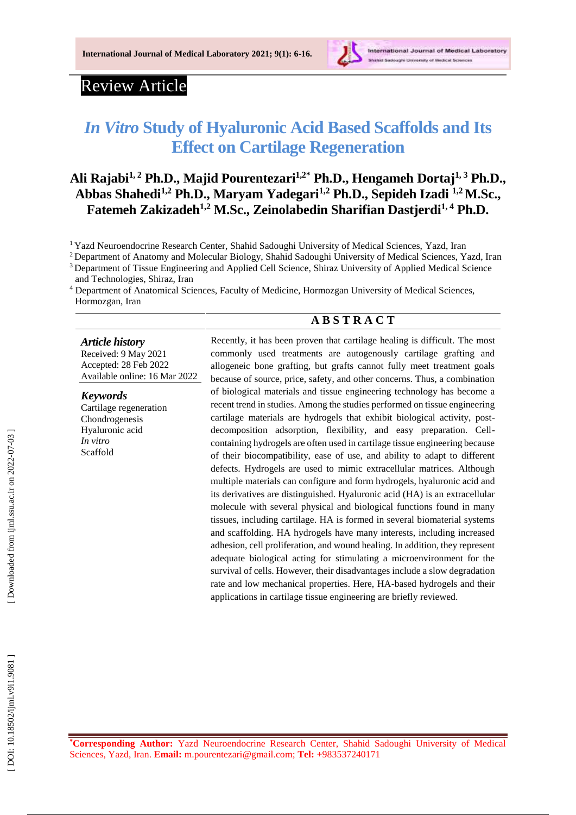

# Review Article

# *In Vitro* **Study of Hyaluronic Acid Based Scaffolds and Its Effect on Cartilage Regeneration**

# **Ali Rajabi1, 2 Ph.D., Majid Pourentezari 1 , 2 \* Ph.D., Hengameh Dortaj1, <sup>3</sup> Ph.D., Abbas Shahedi 1 , <sup>2</sup> Ph.D., Maryam Yadegari 1 , <sup>2</sup> Ph.D., Sepideh Izadi 1,2M.Sc., Fatemeh Zakizadeh1, <sup>2</sup> M.Sc., Zeinolabedin Sharifian Dastjerdi1, 4 Ph.D.**

<sup>1</sup> Yazd Neuroendocrine Research Center, Shahid Sadoughi University of Medical Sciences, Yazd, Iran

<sup>2</sup> Department of Anatomy and Molecular Biology, Shahid Sadoughi University of Medical Sciences, Yazd, Iran

<sup>3</sup> Department of Tissue Engineering and Applied Cell Science, Shiraz University of Applied Medical Science and Technologies, Shiraz, Iran

<sup>4</sup> Department of Anatomical Sciences, Faculty of Medicine, Hormozgan University of Medical Sciences, Hormozgan, Iran

## **A B S T R A C T**

#### *Article history*

Received: 9 May 202 1 Accepted : 28 Feb 202 2 Available online : 1 6 Mar 20 2 2

#### *Keywords*

Cartilage regeneration Chondrogenesis Hyaluronic acid *In vitro* Scaffold

Recently, it has been proven that cartilage healing is difficult. The most commonly used treatments are autogenously cartilage grafting and allogeneic bone grafting, but grafts cannot fully meet treatment goals because of source, price, safety, and other concerns. Thus, a combination of biological materials and tissue engineering technology has become a recent trend in studies. Among the studies performed on tissue engineering cartilage materials are hydrogels that exhibit biological activity, post decomposition adsorption, flexibility, and easy preparation. Cell containing hydrogels are often used in cartilage tissue engineering because of their biocompatibility, ease of use, and ability to adapt to different defects. Hydrogels are used to mimic extracellular matrices. Although multiple materials can configure and form hydrogels, hyaluronic acid and its derivatives are distinguished. Hyaluronic acid (HA) is an extracellular molecule with several physical and biological functions found in many tissues, including cartilage. HA is formed in several biomaterial systems and scaffolding. HA hydrogels have many interests, including increased adhesion, cell proliferation, and wound healing. In addition, they represent adequate biological acting for stimulating a microenvironment for the survival of cells. However, their disadvantages include a slow degradation rate and low mechanical properties. Here, HA -based hydrogels and their applications in cartilage tissue engineering are briefly reviewed.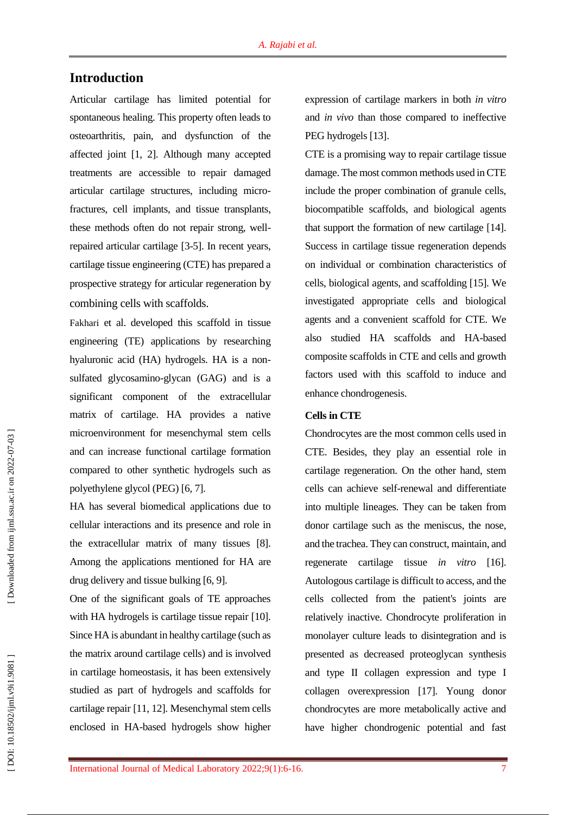## **Introduction**

Articular cartilage has limited potential for spontaneous healing. This property often leads to osteoarthritis, pain, and dysfunction of the affected joint [ 1, 2 ]. Although many accepted treatments are accessible to repair damaged articular cartilage structures, including micro fractures, cell implants, and tissue transplants, these methods often do not repair strong, well repaired articular cartilage [ 3 - 5 ]. In recent years, cartilage tissue engineering (CTE) has prepared a prospective strategy for articular regeneration by combining cells with scaffolds.

Fakhari et al. developed this scaffold in tissue engineering (TE ) applications by researching hyaluronic acid (HA) hydrogels. HA is a non sulfated glycosamino-glycan (GAG) and is a significant component of the extracellular matrix of cartilage. HA provides a native microenvironment for mesenchymal stem cells and can increase functional cartilage formation compared to other synthetic hydrogels such as polyethylene glycol (PEG) [ 6, 7 ] .

HA has several biomedical applications due to cellular interactions and its presence and role in the extracellular matrix of many tissues [ 8 ]. Among the applications mentioned for HA are drug delivery and tissue bulking [6, 9].

One of the significant goals of TE approaches with HA hydrogels is cartilage tissue repair [10]. Since HA is abundant in healthy cartilage (such as the matrix around cartilage cells) and is involved in cartilage homeostasis, it has been extensively studied as part of hydrogels and scaffolds for cartilage repair [11, 12 ]. Mesenchymal stem cells enclosed in HA -based hydrogels show higher expression of cartilage markers in both *in vitro* and *in vivo* than those compared to ineffective PEG hydrogels [13].

CTE is a promising way to repair cartilage tissue damage. The most common methods used in CTE include the proper combination of granule cells, biocompatible scaffolds, and biological agents that support the formation of new cartilage [14 ]. Success in cartilage tissue regeneration depends on individual or combination characteristics of cells, biological agents, and scaffolding [15 ]. We investigated appropriate cells and biological agents and a convenient scaffold for CTE. We also studied HA scaffolds and HA -based composite scaffolds in CTE and cells and growth factors used with this scaffold to induce and enhance chondrogenesis.

#### **Cells in CTE**

Chondrocytes are the most common cells used in CTE. Besides, they play an essential role in cartilage regeneration. On the other hand, stem cells can achieve self-renewal and differentiate into multiple lineages. They can be taken from donor cartilage such as the meniscus, the nose, and the trachea. They can construct, maintain, and regenerate cartilage tissue *in vitro* [16 ]. Autologous cartilage is difficult to access, and the cells collected from the patient's joints are relatively inactive. Chondrocyte proliferation in monolayer culture leads to disintegration and is presented as decreased proteoglycan synthesis and type II collagen expression and type I collagen overexpression [17 ]. Young donor chondrocytes are more metabolically active and have higher chondrogenic potential and fast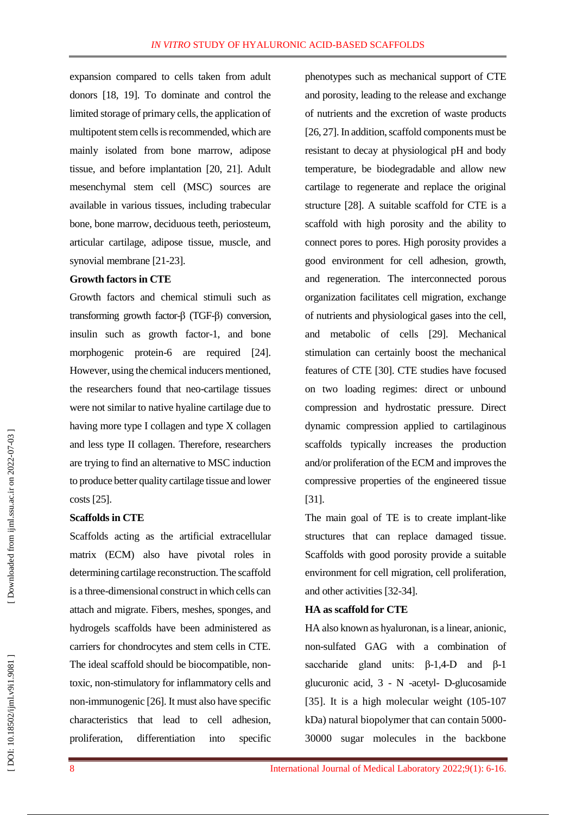expansion compared to cells taken from adult donors [18, 19 ]. To dominate and control the limited storage of primary cells, the application of multipotent stem cells is recommended, which are mainly isolated from bone marrow, adipose tissue, and before implantation [20, 21 ]. Adult mesenchymal stem cell (MSC) sources are available in various tissues, including trabecular bone, bone marrow, deciduous teeth, periosteum, articular cartilage, adipose tissue, muscle, and synovial membrane [21-23].

#### **Growth factors in CTE**

Growth factors and chemical stimuli such as transforming growth factor-β (TGF -β) conversion, insulin such as growth factor -1, and bone morphogenic protein-6 are required [24]. However, using the chemical inducers mentioned, the researchers found that neo -cartilage tissues were not similar to native hyaline cartilage due to having more type I collagen and type X collagen and less type II collagen. Therefore, researchers are trying to find an alternative to MSC induction to produce better quality cartilage tissue and lower costs [25 ] .

#### **Scaffolds in CTE**

Scaffolds acting as the artificial extracellular matrix (ECM) also have pivotal roles in determining cartilage reconstruction. The scaffold is a three -dimensional construct in which cells can attach and migrate. Fibers, meshes, sponges, and hydrogels scaffolds have been administered as carriers for chondrocytes and stem cells in CTE. The ideal scaffold should be biocompatible, non toxic, non -stimulatory for inflammatory cells and non -immunogenic [26 ]. It must also have specific characteristics that lead to cell adhesion, proliferation, differentiation into specific

phenotypes such as mechanical support of CTE and porosity, leading to the release and exchange of nutrients and the excretion of waste products [26, 27]. In addition, scaffold components must be resistant to decay at physiological pH and body temperature, be biodegradable and allow new cartilage to regenerate and replace the original structure [28 ]. A suitable scaffold for CTE is a scaffold with high porosity and the ability to connect pores to pores. High porosity provides a good environment for cell adhesion, growth, and regeneration. The interconnected porous organization facilitates cell migration, exchange of nutrients and physiological gases into the cell, and metabolic of cells [29 ]. Mechanical stimulation can certainly boost the mechanical features of CTE [30 ]. CTE studies have focused on two loading regimes: direct or unbound compression and hydrostatic pressure. Direct dynamic compression applied to cartilaginous scaffolds typically increases the production and/or proliferation of the EC M and improves the compressive properties of the engineered tissue [31].

The main goal of TE is to create implant-like structures that can replace damaged tissue. Scaffolds with good porosity provide a suitable environment for cell migration, cell proliferation, and other activities [32 -34 ] .

## **HA as scaffold for CTE**

HA also known as hyaluronan, is a linear, anionic, non -sulfated GAG with a combination of saccharide gland units:  $\beta$ -1,4-D and  $\beta$ -1 glucuronic acid, 3 - N -acetyl - D -glucosamide [35]. It is a high molecular weight (105-107 kDa) natural biopolymer that can contain 5000 - 30000 sugar molecules in the backbone

DOI: 10.18502/ijml.v9i1.9081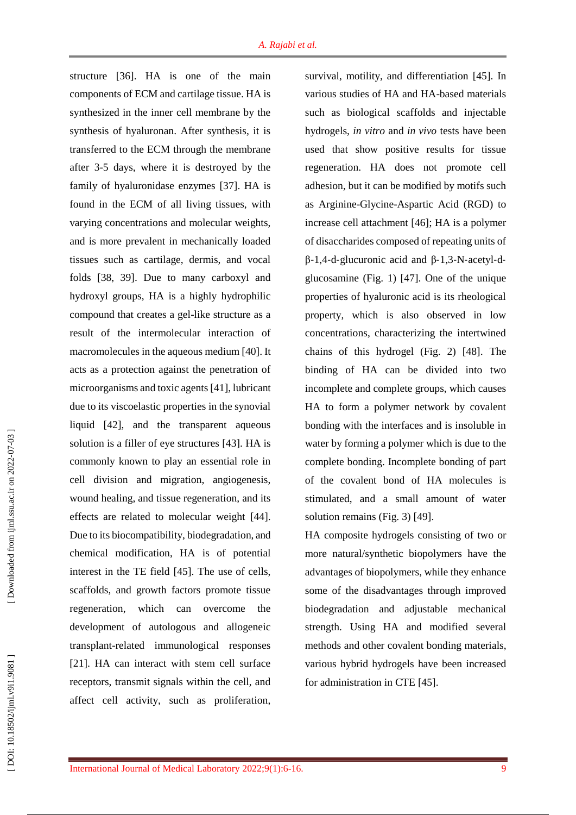structure [36 ]. HA is one of the main components of ECM and cartilage tissue. HA is synthesized in the inner cell membrane by the synthesis of hyaluronan. After synthesis, it is transferred to the ECM through the membrane after 3 -5 days, where it is destroyed by the family of hyaluronidase enzymes [37 ]. HA is found in the ECM of all living tissues, with varying concentrations and molecular weights, and is more prevalent in mechanically loaded tissues such as cartilage, dermis, and vocal folds [38, 39 ]. Due to many carboxyl and hydroxyl groups, HA is a highly hydrophilic compound that creates a gel -like structure as a result of the intermolecular interaction of macromolecules in the aqueous medium [40 ] . It acts as a protection against the penetration of microorganisms and toxic agents [41 ], lubricant due to its viscoelastic properties in the synovial liquid [42 ], and the transparent aqueous solution is a filler of eye structures [43 ]. HA is commonly known to play an essential role in cell division and migration, angiogenesis, wound healing, and tissue regeneration, and its effects are related to molecular weight [44 ]. Due to its biocompatibility, biodegradation, and chemical modification, HA is of potential interest in the TE field [45 ]. The use of cells, scaffolds, and growth factors promote tissue regeneration, which can overcome the development of autologous and allogeneic transplant -related immunological responses [21 ]. HA can interact with stem cell surface receptors, transmit signals within the cell, and affect cell activity, such as proliferation,

survival, motility, and differentiation [45 ]. In various studies of HA and HA -based materials such as biological scaffolds and injectable hydrogels, *in vitro* and *in vivo* tests have been used that show positive results for tissue regeneration. HA does not promote cell adhesion, but it can be modified by motifs such as Arginine -Glycine -Aspartic Acid (RGD ) to increase cell attachment [46 ]; HA is a polymer of disaccharides composed of repeating units of β-1,4-d-glucuronic acid and β-1,3-N-acetyl-dglucosamine (Fig. 1 ) [47]. One of the unique properties of hyaluronic acid is its rheological property, which is also observed in low concentrations, characterizing the intertwined chains of this hydrogel (Fig. 2) [48 ] . The binding of HA can be divided into two incomplete and complete groups, which causes HA to form a polymer network by covalent bonding with the interfaces and is insoluble in water by forming a polymer which is due to the complete bonding. Incomplete bonding of part of the covalent bond of HA molecules is stimulated, and a small amount of water solution remains (Fig. 3) [49].

HA composite hydrogels consisting of two or more natural/synthetic biopolymers have the advantages of biopolymers, while they enhance some of the disadvantages through improved biodegradation and adjustable mechanical strength. Using HA and modified several methods and other covalent bonding materials, various hybrid hydrogels have been increased for administration in CTE [45 ] .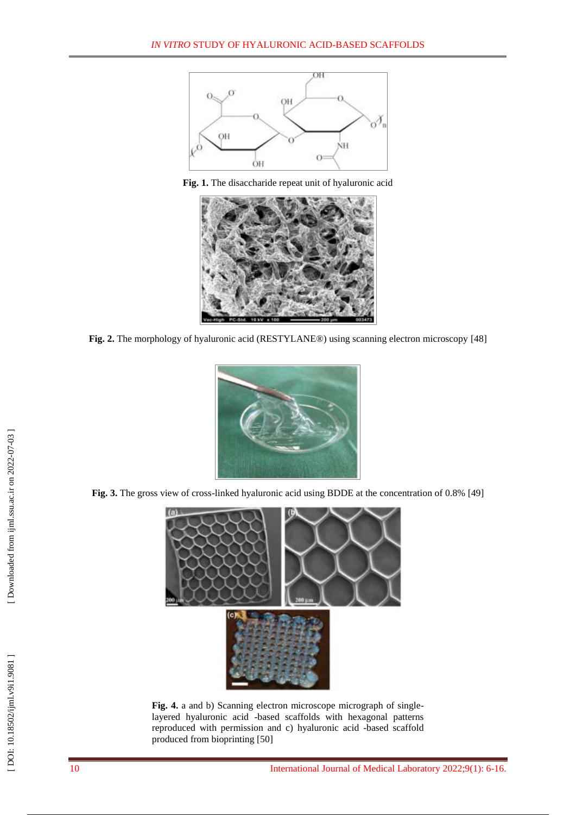

**Fig . 1.** The disaccharide repeat unit of hyaluronic acid



**Fig. 2.** The morphology of hyaluronic acid (RESTYLANE®) using scanning electron microscopy [48]



Fig. 3. The gross view of cross-linked hyaluronic acid using BDDE at the concentration of 0.8% [49]



Fig. 4. a and b) Scanning electron microscope micrograph of singlelayered hyaluronic acid -based scaffolds with hexagonal patterns reproduced with permission and c) hyaluronic acid -based scaffold produced from bioprinting [50 ]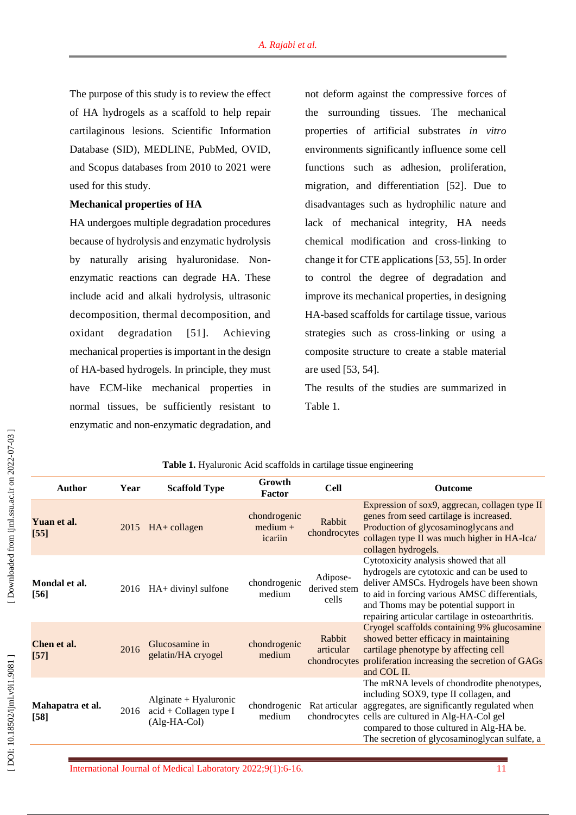The purpose of this study is to review the effect of HA hydrogels as a scaffold to help repair cartilaginous lesions. Scientific Information Database (SID), MEDLINE, PubMed, OVID, and Scopus databases from 2010 to 2021 were used for this study.

### **Mechanical properties of HA**

HA undergoes multiple degradation procedures because of hydrolysis and enzymatic hydrolysis by naturally arising hyaluronidase . Non enzymatic reactions can degrade HA. These include acid and alkali hydrolysis, ultrasonic decomposition, thermal decomposition, and oxidant degradation  $[51]$ . Achieving mechanical properties is important in the design of HA -based hydrogels. In principle, they must have ECM -like mechanical properties in normal tissues, be sufficiently resistant to enzymatic and non -enzymatic degradation, and not deform against the compressive forces of the surrounding tissues. The mechanical properties of artificial substrates *in vitro* environments significantly influence some cell functions such as adhesion, proliferation, migration, and differentiation [52 ]. Due to disadvantages such as hydrophilic nature and lack of mechanical integrity, HA needs chemical modification and cross -linking to change it for CTE applications [ 5 3 , 55 ]. In order to control the degree of degradation and improve its mechanical properties, in designing HA -based scaffolds for cartilage tissue, various strategies such as cross -linking or using a composite structure to create a stable material are used [53, 54 ] .

The results of the studies are summarized in Table 1.

| <b>Author</b>              | Year | <b>Scaffold Type</b>                                                | Growth<br>Factor                      | <b>Cell</b>                       | <b>Outcome</b>                                                                                                                                                                                                                                                                                      |
|----------------------------|------|---------------------------------------------------------------------|---------------------------------------|-----------------------------------|-----------------------------------------------------------------------------------------------------------------------------------------------------------------------------------------------------------------------------------------------------------------------------------------------------|
| Yuan et al.<br>$[55]$      | 2015 | $HA+$ collagen                                                      | chondrogenic<br>$median +$<br>icariin | Rabbit<br>chondrocytes            | Expression of sox9, aggrecan, collagen type II<br>genes from seed cartilage is increased.<br>Production of glycosaminoglycans and<br>collagen type II was much higher in HA-Ica/<br>collagen hydrogels.                                                                                             |
| Mondal et al.<br>$[56]$    | 2016 | HA+ divinyl sulfone                                                 | chondrogenic<br>medium                | Adipose-<br>derived stem<br>cells | Cytotoxicity analysis showed that all<br>hydrogels are cytotoxic and can be used to<br>deliver AMSCs. Hydrogels have been shown<br>to aid in forcing various AMSC differentials,<br>and Thoms may be potential support in<br>repairing articular cartilage in osteoarthritis.                       |
| Chen et al.<br>$[57]$      | 2016 | Glucosamine in<br>gelatin/HA cryogel                                | chondrogenic<br>medium                | Rabbit<br>articular               | Cryogel scaffolds containing 9% glucosamine<br>showed better efficacy in maintaining<br>cartilage phenotype by affecting cell<br>chondrocytes proliferation increasing the secretion of GAGs<br>and COL II.                                                                                         |
| Mahapatra et al.<br>$[58]$ | 2016 | $Alginate + Hyaluronic$<br>$acid + Collagen type I$<br>(Alg-HA-Col) | chondrogenic<br>medium                |                                   | The mRNA levels of chondrodite phenotypes,<br>including SOX9, type II collagen, and<br>Rat articular aggregates, are significantly regulated when<br>chondrocytes cells are cultured in Alg-HA-Col gel<br>compared to those cultured in Alg-HA be.<br>The secretion of glycosaminoglycan sulfate, a |

## **Table 1.** Hyaluronic Acid scaffolds in cartilage tissue engineering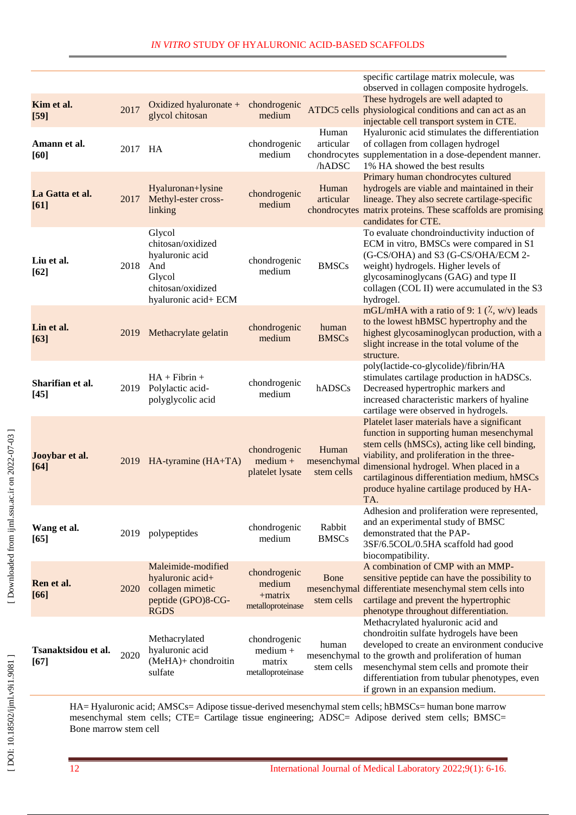|                               |         |                                                                                                              |                                                           |                                    | specific cartilage matrix molecule, was<br>observed in collagen composite hydrogels.                                                                                                                                                                                                                                                |
|-------------------------------|---------|--------------------------------------------------------------------------------------------------------------|-----------------------------------------------------------|------------------------------------|-------------------------------------------------------------------------------------------------------------------------------------------------------------------------------------------------------------------------------------------------------------------------------------------------------------------------------------|
| Kim et al.<br>$[59]$          | 2017    | Oxidized hyaluronate +<br>glycol chitosan                                                                    | chondrogenic<br>medium                                    | ATDC5 cells                        | These hydrogels are well adapted to<br>physiological conditions and can act as an<br>injectable cell transport system in CTE.                                                                                                                                                                                                       |
| Amann et al.<br>[60]          | 2017 HA |                                                                                                              | chondrogenic<br>medium                                    | Human<br>articular<br>/hADSC       | Hyaluronic acid stimulates the differentiation<br>of collagen from collagen hydrogel<br>chondrocytes supplementation in a dose-dependent manner.<br>1% HA showed the best results                                                                                                                                                   |
| La Gatta et al.<br>[61]       | 2017    | Hyaluronan+lysine<br>Methyl-ester cross-<br>linking                                                          | chondrogenic<br>medium                                    | Human<br>articular                 | Primary human chondrocytes cultured<br>hydrogels are viable and maintained in their<br>lineage. They also secrete cartilage-specific<br>chondrocytes matrix proteins. These scaffolds are promising<br>candidates for CTE.                                                                                                          |
| Liu et al.<br>[62]            | 2018    | Glycol<br>chitosan/oxidized<br>hyaluronic acid<br>And<br>Glycol<br>chitosan/oxidized<br>hyaluronic acid+ ECM | chondrogenic<br>medium                                    | <b>BMSCs</b>                       | To evaluate chondroinductivity induction of<br>ECM in vitro, BMSCs were compared in S1<br>(G-CS/OHA) and S3 (G-CS/OHA/ECM 2-<br>weight) hydrogels. Higher levels of<br>glycosaminoglycans (GAG) and type II<br>collagen (COL II) were accumulated in the S3<br>hydrogel.                                                            |
| Lin et al.<br>$[63]$          | 2019    | Methacrylate gelatin                                                                                         | chondrogenic<br>medium                                    | human<br><b>BMSCs</b>              | mGL/mHA with a ratio of 9: 1 $(\lambda, w/v)$ leads<br>to the lowest hBMSC hypertrophy and the<br>highest glycosaminoglycan production, with a<br>slight increase in the total volume of the<br>structure.                                                                                                                          |
| Sharifian et al.<br>$[45]$    | 2019    | $HA + Fibrin +$<br>Polylactic acid-<br>polyglycolic acid                                                     | chondrogenic<br>medium                                    | hADSCs                             | poly(lactide-co-glycolide)/fibrin/HA<br>stimulates cartilage production in hADSCs.<br>Decreased hypertrophic markers and<br>increased characteristic markers of hyaline<br>cartilage were observed in hydrogels.                                                                                                                    |
| Jooybar et al.<br>$[64]$      | 2019    | HA-tyramine (HA+TA)                                                                                          | chondrogenic<br>$median +$<br>platelet lysate             | Human<br>mesenchymal<br>stem cells | Platelet laser materials have a significant<br>function in supporting human mesenchymal<br>stem cells (hMSCs), acting like cell binding,<br>viability, and proliferation in the three-<br>dimensional hydrogel. When placed in a<br>cartilaginous differentiation medium, hMSCs<br>produce hyaline cartilage produced by HA-<br>TA. |
| Wang et al.<br>[65]           | 2019    | polypeptides                                                                                                 | chondrogenic<br>medium                                    | Rabbit<br><b>BMSCs</b>             | Adhesion and proliferation were represented,<br>and an experimental study of BMSC<br>demonstrated that the PAP-<br>3SF/6.5COL/0.5HA scaffold had good<br>biocompatibility.                                                                                                                                                          |
| Ren et al.<br>[66]            | 2020    | Maleimide-modified<br>hyaluronic acid+<br>collagen mimetic<br>peptide (GPO)8-CG-<br><b>RGDS</b>              | chondrogenic<br>medium<br>+matrix<br>metalloproteinase    | Bone<br>stem cells                 | A combination of CMP with an MMP-<br>sensitive peptide can have the possibility to<br>mesenchymal differentiate mesenchymal stem cells into<br>cartilage and prevent the hypertrophic<br>phenotype throughout differentiation.                                                                                                      |
| Tsanaktsidou et al.<br>$[67]$ | 2020    | Methacrylated<br>hyaluronic acid<br>(MeHA)+ chondroitin<br>sulfate                                           | chondrogenic<br>$median +$<br>matrix<br>metalloproteinase | human<br>stem cells                | Methacrylated hyaluronic acid and<br>chondroitin sulfate hydrogels have been<br>developed to create an environment conducive<br>mesenchymal to the growth and proliferation of human<br>mesenchymal stem cells and promote their<br>differentiation from tubular phenotypes, even<br>if grown in an expansion medium.               |

HA= Hyaluronic acid; AMSCs= Adipose tissue -derived mesenchymal stem cells ; hBMSCs= human bone marrow mesenchymal stem cells; CTE= Cartilage tissue engineering; ADSC= Adipose derived stem cells; BMSC= Bone marrow stem cell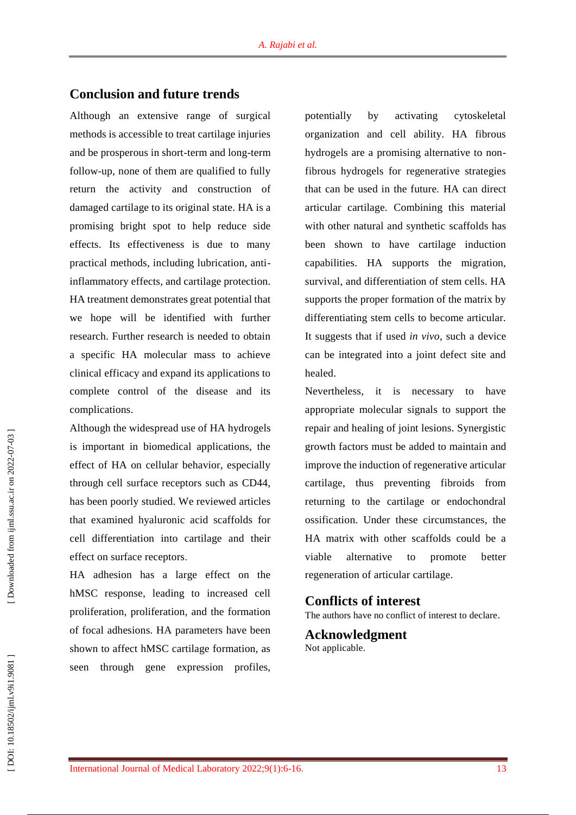## **Conclusion and future trends**

Although an extensive range of surgical methods is accessible to treat cartilage injuries and be prosperous in short -term and long -term follow -up, none of them are qualified to fully return the activity and construction of damaged cartilage to its original state. HA is a promising bright spot to help reduce side effects. Its effectiveness is due to many practical methods, including lubrication, anti inflammatory effects, and cartilage protection. HA treatment demonstrates great potential that we hope will be identified with further research. Further research is needed to obtain a specific HA molecular mass to achieve clinical efficacy and expand its applications to complete control of the disease and its complications.

Although the widespread use of HA hydrogels is important in biomedical applications, the effect of HA on cellular behavior, especially through cell surface receptors such as CD44, has been poorly studied. We reviewed articles that examined hyaluronic acid scaffolds for cell differentiation into cartilage and their effect on surface receptors .

HA adhesion has a large effect on the hMSC response, leading to increased cell proliferation, proliferation, and the formation of focal adhesions. HA parameters have been shown to affect hMSC cartilage formation, as seen through gene expression profiles,

potentially by activating cytoskeletal organization and cell ability. HA fibrous hydrogels are a promising alternative to non fibrous hydrogels for regenerative strategies that can be used in the future. HA can direct articular cartilage. Combining this material with other natural and synthetic scaffolds has been shown to have cartilage induction capabilities. HA supports the migration, survival, and differentiation of stem cells. HA supports the proper formation of the matrix by differentiating stem cells to become articular. It suggests that if used *in vivo*, such a device can be integrated into a joint defect site and healed.

Nevertheless, it is necessary to have appropriate molecular signals to support the repair and healing of joint lesions. Synergistic growth factors must be added to maintain and improve the induction of regenerative articular cartilage, thus preventing fibroids from returning to the cartilage or endochondral ossification. Under these circumstances, the HA matrix with other scaffolds could be a viable alternative to promote better regeneration of articular cartilage.

## **Conflict s of interest**

The authors have no conflict of interest to declare .

#### **Acknowledgment** Not applicable.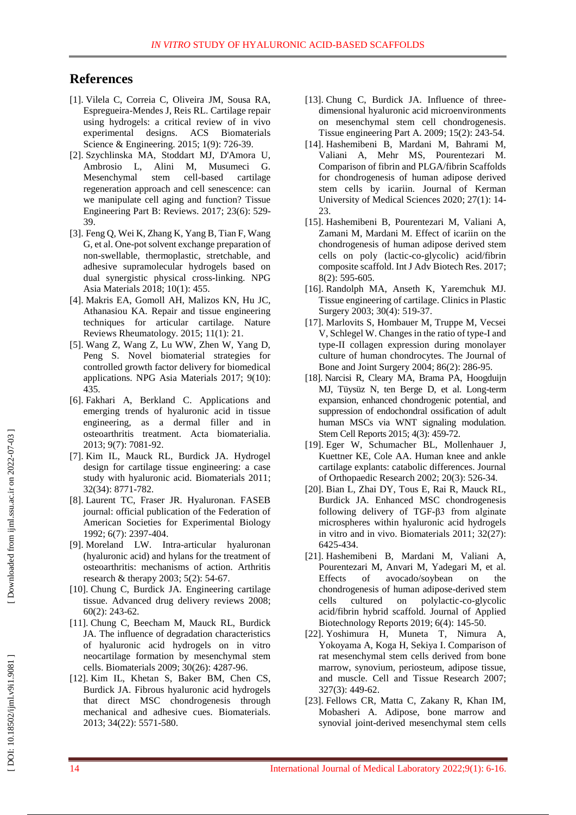## **References**

- [1]. Vilela C, Correia C, Oliveira JM, Sousa RA, Espregueira -Mendes J, Reis RL. Cartilage repair using hydrogels: a critical review of in vivo experimental designs. ACS Biomaterials Science & Engineering. 2015; 1(9): 726 -39.
- [ 2]. Szychlinska MA, Stoddart MJ, D'Amora U, Ambrosio L, Alini M, Musumeci G. Mesenchymal stem cell-based cartilage regeneration approach and cell senescence: can we manipulate cell aging and function? Tissue Engineering Part B: Reviews. 2017; 23(6): 529 - 39.
- [ 3]. Feng Q, Wei K, Zhang K, Yang B, Tian F, Wang G, et al. One-pot solvent exchange preparation of non -swellable, thermoplastic, stretchable, and adhesive supramolecular hydrogels based on dual synergistic physical cross -linking. NPG Asia Materials 2018; 10(1): 455.
- [ 4]. Makris EA, Gomoll AH, Malizos KN, Hu JC, Athanasiou KA. Repair and tissue engineering techniques for articular cartilage. Nature Reviews Rheumatology. 2015; 11(1): 21.
- [ 5]. Wang Z, Wang Z, Lu WW, Zhen W, Yang D, Peng S. Novel biomaterial strategies for controlled growth factor delivery for biomedical applications. NPG Asia Materials 2017; 9(10): 435 .
- [ 6]. Fakhari A, Berkland C. Applications and emerging trends of hyaluronic acid in tissue engineering, as a dermal filler and in osteoarthritis treatment. Acta biomaterialia. 2013; 9(7): 7081 -92.
- [ 7]. Kim IL, Mauck RL, Burdick JA. Hydrogel design for cartilage tissue engineering: a case study with hyaluronic acid. Biomaterials 2011; 32(34): 8771 - 782.
- [ 8]. Laurent TC, Fraser JR. Hyaluronan. FASEB journal: official publication of the Federation of American Societies for Experimental Biology 1992; 6(7): 2397 -404.
- [ 9]. Moreland LW. Intra -articular hyaluronan (hyaluronic acid) and hylans for the treatment of osteoarthritis: mechanisms of action. Arthritis research & therapy 2003; 5(2): 54 -67.
- [10]. Chung C, Burdick JA. Engineering cartilage tissue. Advanced drug delivery reviews 2008; 60(2): 243 -62.
- [11]. Chung C, Beecham M, Mauck RL, Burdick JA. The influence of degradation characteristics of hyaluronic acid hydrogels on in vitro neocartilage formation by mesenchymal stem cells. Biomaterials 2009; 30(26): 4287 -96.
- [12]. Kim IL, Khetan S, Baker BM, Chen CS, Burdick JA. Fibrous hyaluronic acid hydrogels that direct MSC chondrogenesis through mechanical and adhesive cues. Biomaterials. 2013; 34(22): 5571 - 580.
- [13]. Chung C, Burdick JA. Influence of threedimensional hyaluronic acid microenvironments on mesenchymal stem cell chondrogenesis. Tissue engineering Part A. 2009; 15(2): 243 -54.
- [14]. Hashemibeni B, Mardani M, Bahrami M, Valiani A, Mehr MS, Pourentezari M. Comparison of fibrin and PLGA/fibrin Scaffolds for chondrogenesis of human adipose derived stem cells by icariin. Journal of Kerman University of Medical Sciences 2020; 27(1): 14 - 23.
- [15]. Hashemibeni B, Pourentezari M, Valiani A, Zamani M, Mardani M. Effect of icariin on the chondrogenesis of human adipose derived stem cells on poly (lactic -co -glycolic) acid/fibrin composite scaffold. Int J Adv Biotech Res. 2017; 8(2): 595 -605.
- [16]. Randolph MA, Anseth K, Yaremchuk MJ. Tissue engineering of cartilage. Clinics in Plastic Surgery 2003; 30(4): 519 -37.
- [17]. Marlovits S, Hombauer M, Truppe M, Vecsei V, Schlegel W. Changes in the ratio of type -I and type -II collagen expression during monolayer culture of human chondrocytes. The Journal of Bone and Joint Surgery 2004; 86(2): 286 -95.
- [18]. Narcisi R, Cleary MA, Brama PA, Hoogduijn MJ, Tüysüz N, ten Berge D, et al. Long -term expansion, enhanced chondrogenic potential, and suppression of endochondral ossification of adult human MSCs via WNT signaling modulation. Stem Cell Reports 2015; 4(3): 459 -72.
- [19]. Eger W, Schumacher BL, Mollenhauer J, Kuettner KE, Cole AA. Human knee and ankle cartilage explants: catabolic differences. Journal of Orthopaedic Research 2002; 20(3): 526 -34.
- [20]. Bian L, Zhai DY, Tous E, Rai R, Mauck RL, Burdick JA. Enhanced MSC chondrogenesis following delivery of TGF -β3 from alginate microspheres within hyaluronic acid hydrogels in vitro and in vivo. Biomaterials 2011; 32(27): 6425 - 434.
- [21]. Hashemibeni B, Mardani M, Valiani A, Pourentezari M, Anvari M, Yadegari M, et al. Effects of avocado/soybean on the chondrogenesis of human adipose -derived stem cells cultured on polylactic -co -glycolic acid/fibrin hybrid scaffold. Journal of Applied Biotechnology Reports 2019; 6(4): 145 -50.
- [22]. Yoshimura H, Muneta T, Nimura A, Yokoyama A, Koga H, Sekiya I. Comparison of rat mesenchymal stem cells derived from bone marrow, synovium, periosteum, adipose tissue, and muscle. Cell and Tissue Research 2007; 327(3): 449 -62.
- [23]. Fellows CR, Matta C, Zakany R, Khan IM, Mobasheri A. Adipose, bone marrow and synovial joint -derived mesenchymal stem cells

[Downloaded from ijml.ssu.ac.ir on 2022-07-03]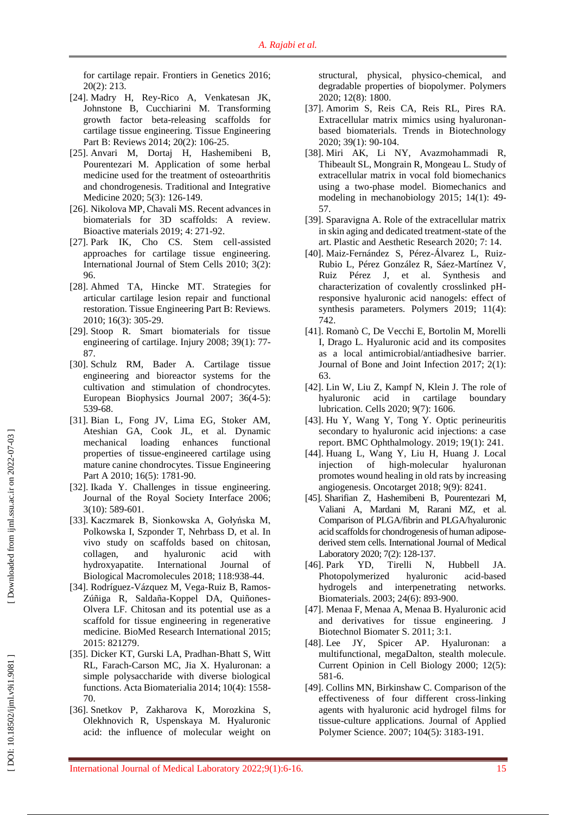for cartilage repair. Frontiers in Genetics 2016; 20(2) : 213.

- [24]. Madry H, Rey -Rico A, Venkatesan JK, Johnstone B, Cucchiarini M. Transforming growth factor beta -releasing scaffolds for cartilage tissue engineering. Tissue Engineering Part B: Reviews 2014; 20(2): 106 -25.
- [25]. Anvari M, Dortaj H, Hashemibeni B, Pourentezari M. Application of some herbal medicine used for the treatment of osteoarthritis and chondrogenesis. Traditional and Integrative Medicine 2020; 5(3): 126-149.
- [26]. Nikolova MP, Chavali MS. Recent advances in biomaterials for 3D scaffolds: A review. Bioactive materials 2019; 4: 271 -92.
- [27]. Park IK, Cho CS. Stem cell -assisted approaches for cartilage tissue engineering. International Journal of Stem Cells 2010; 3(2): 96.
- [28]. Ahmed TA, Hincke MT. Strategies for articular cartilage lesion repair and functional restoration. Tissue Engineering Part B: Reviews. 2010; 16(3): 305 -29.
- [29]. Stoop R. Smart biomaterials for tissue engineering of cartilage. Injury 2008; 39(1): 77 - 87.
- [30]. Schulz RM, Bader A. Cartilage tissue engineering and bioreactor systems for the cultivation and stimulation of chondrocytes. European Biophysics Journal 2007; 36(4 - 5): 539 -68.
- [31]. Bian L, Fong JV, Lima EG, Stoker AM, Ateshian GA, Cook JL, et al. Dynamic mechanical loading enhances functional properties of tissue -engineered cartilage using mature canine chondrocytes. Tissue Engineering Part A 2010; 16(5): 1781-90.
- [32]. Ikada Y. Challenges in tissue engineering. Journal of the Royal Society Interface 2006; 3(10): 589 -601.
- [33]. Kaczmarek B, Sionkowska A, Gołyńska M, Polkowska I, Szponder T, Nehrbass D, et al. In vivo study on scaffolds based on chitosan, collagen, and hyaluronic acid with hydroxyapatite. International Journal of Biological Macromolecules 2018; 118:938 -44.
- [34]. Rodríguez-Vázquez M, Vega-Ruiz B, Ramos-Zúñiga R, Saldaña -Koppel DA, Quiñones - Olvera LF. Chitosan and its potential use as a scaffold for tissue engineering in regenerative medicine. BioMed Research International 2015; 2015: 821279 .
- [35]. Dicker KT, Gurski LA, Pradhan -Bhatt S, Witt RL, Farach -Carson MC, Jia X. Hyaluronan: a simple polysaccharide with diverse biological functions. Acta Biomaterialia 2014; 10(4): 1558 - 70.
- [36]. Snetkov P, Zakharova K, Morozkina S, Olekhnovich R, Uspenskaya M. Hyaluronic acid: the influence of molecular weight on

structural, physical, physico -chemical, and degradable properties of biopolymer. Polymers 2020; 12(8): 1800.

- [37]. Amorim S, Reis CA, Reis RL, Pires RA. Extracellular matrix mimics using hyaluronan based biomaterials. Trends in Biotechnology 2020; 39(1): 90 -104 .
- [38]. Miri AK, Li NY, Avazmohammadi R, Thibeault SL, Mongrain R, Mongeau L. Study of extracellular matrix in vocal fold biomechanics using a two -phase model. Biomechanics and modeling in mechanobiology 2015; 14(1): 49 - 57.
- [39]. Sparavigna A. Role of the extracellular matrix in skin aging and dedicated treatment - state of the art. Plastic and Aesthetic Research 2020; 7: 14 .
- [40]. Maiz -Fernández S, Pérez -Álvarez L, Ruiz Rubio L, Pérez González R, Sáez -Martínez V, Ruiz Pérez J, et al. Synthesis and characterization of covalently crosslinked pH responsive hyaluronic acid nanogels: effect of synthesis parameters. Polymers 2019; 11(4): 742.
- [41]. Romanò C, De Vecchi E, Bortolin M, Morelli I, Drago L. Hyaluronic acid and its composites as a local antimicrobial/antiadhesive barrier. Journal of Bone and Joint Infection 2017; 2(1): 63.
- [42]. Lin W, Liu Z, Kampf N, Klein J. The role of hyaluronic acid in cartilage boundary lubrication. Cells 2020; 9(7): 1606.
- [43]. Hu Y, Wang Y, Tong Y. Optic perineuritis secondary to hyaluronic acid injections: a case report. BMC Ophthalmology. 2019; 19(1): 241.
- [44]. Huang L, Wang Y, Liu H, Huang J. Local injection of high-molecular hyaluronan promotes wound healing in old rats by increasing angiogenesis. Oncotarget 2018; 9(9): 8241.
- [45]. Sharifian Z, Hashemibeni B, Pourentezari M, Valiani A, Mardani M, Rarani MZ, et al. Comparison of PLGA/fibrin and PLGA/hyaluronic acid scaffolds for chondrogenesis of human adipose derived stem cells. International Journal of Medical Laboratory 2020; 7(2): 128-137.
- [46]. Park YD, Tirelli N, Hubbell JA. Photopolymerized hyaluronic acid-based hydrogels and interpenetrating networks. Biomaterials. 2003; 24(6): 893 -900.
- [47]. Menaa F, Menaa A, Menaa B. Hyaluronic acid and derivatives for tissue engineering. J Biotechnol Biomater S. 2011; 3:1.
- [48]. Lee JY, Spicer AP. Hyaluronan: a multifunctional, megaDalton, stealth molecule. Current Opinion in Cell Biology 2000; 12(5): 581 -6.
- [49]. Collins MN, Birkinshaw C. Comparison of the effectiveness of four different cross -linking agents with hyaluronic acid hydrogel films for tissue -culture applications. Journal of Applied Polymer Science. 2007; 104(5): 3183 - 191.